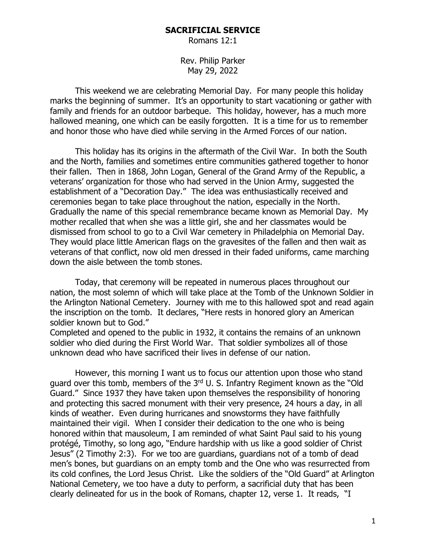## **SACRIFICIAL SERVICE**

Romans 12:1

Rev. Philip Parker May 29, 2022

This weekend we are celebrating Memorial Day. For many people this holiday marks the beginning of summer. It's an opportunity to start vacationing or gather with family and friends for an outdoor barbeque. This holiday, however, has a much more hallowed meaning, one which can be easily forgotten. It is a time for us to remember and honor those who have died while serving in the Armed Forces of our nation.

This holiday has its origins in the aftermath of the Civil War. In both the South and the North, families and sometimes entire communities gathered together to honor their fallen. Then in 1868, John Logan, General of the Grand Army of the Republic, a veterans' organization for those who had served in the Union Army, suggested the establishment of a "Decoration Day." The idea was enthusiastically received and ceremonies began to take place throughout the nation, especially in the North. Gradually the name of this special remembrance became known as Memorial Day. My mother recalled that when she was a little girl, she and her classmates would be dismissed from school to go to a Civil War cemetery in Philadelphia on Memorial Day. They would place little American flags on the gravesites of the fallen and then wait as veterans of that conflict, now old men dressed in their faded uniforms, came marching down the aisle between the tomb stones.

Today, that ceremony will be repeated in numerous places throughout our nation, the most solemn of which will take place at the Tomb of the Unknown Soldier in the Arlington National Cemetery. Journey with me to this hallowed spot and read again the inscription on the tomb. It declares, "Here rests in honored glory an American soldier known but to God."

Completed and opened to the public in 1932, it contains the remains of an unknown soldier who died during the First World War. That soldier symbolizes all of those unknown dead who have sacrificed their lives in defense of our nation.

However, this morning I want us to focus our attention upon those who stand guard over this tomb, members of the 3rd U. S. Infantry Regiment known as the "Old Guard." Since 1937 they have taken upon themselves the responsibility of honoring and protecting this sacred monument with their very presence, 24 hours a day, in all kinds of weather. Even during hurricanes and snowstorms they have faithfully maintained their vigil. When I consider their dedication to the one who is being honored within that mausoleum, I am reminded of what Saint Paul said to his young protégé, Timothy, so long ago, "Endure hardship with us like a good soldier of Christ Jesus" (2 Timothy 2:3). For we too are guardians, guardians not of a tomb of dead men's bones, but guardians on an empty tomb and the One who was resurrected from its cold confines, the Lord Jesus Christ. Like the soldiers of the "Old Guard" at Arlington National Cemetery, we too have a duty to perform, a sacrificial duty that has been clearly delineated for us in the book of Romans, chapter 12, verse 1. It reads, "I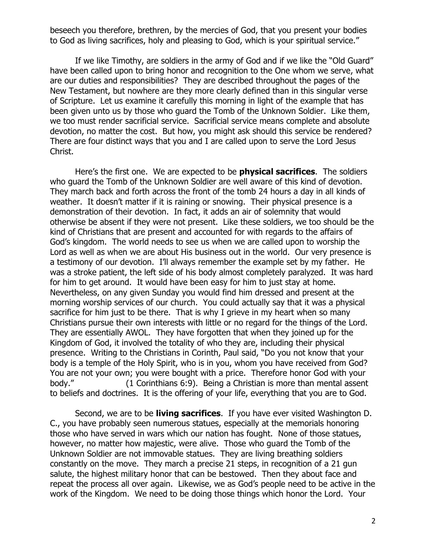beseech you therefore, brethren, by the mercies of God, that you present your bodies to God as living sacrifices, holy and pleasing to God, which is your spiritual service."

If we like Timothy, are soldiers in the army of God and if we like the "Old Guard" have been called upon to bring honor and recognition to the One whom we serve, what are our duties and responsibilities? They are described throughout the pages of the New Testament, but nowhere are they more clearly defined than in this singular verse of Scripture. Let us examine it carefully this morning in light of the example that has been given unto us by those who guard the Tomb of the Unknown Soldier. Like them, we too must render sacrificial service. Sacrificial service means complete and absolute devotion, no matter the cost. But how, you might ask should this service be rendered? There are four distinct ways that you and I are called upon to serve the Lord Jesus Christ.

Here's the first one. We are expected to be **physical sacrifices**. The soldiers who guard the Tomb of the Unknown Soldier are well aware of this kind of devotion. They march back and forth across the front of the tomb 24 hours a day in all kinds of weather. It doesn't matter if it is raining or snowing. Their physical presence is a demonstration of their devotion. In fact, it adds an air of solemnity that would otherwise be absent if they were not present. Like these soldiers, we too should be the kind of Christians that are present and accounted for with regards to the affairs of God's kingdom. The world needs to see us when we are called upon to worship the Lord as well as when we are about His business out in the world. Our very presence is a testimony of our devotion. I'll always remember the example set by my father. He was a stroke patient, the left side of his body almost completely paralyzed. It was hard for him to get around. It would have been easy for him to just stay at home. Nevertheless, on any given Sunday you would find him dressed and present at the morning worship services of our church. You could actually say that it was a physical sacrifice for him just to be there. That is why I grieve in my heart when so many Christians pursue their own interests with little or no regard for the things of the Lord. They are essentially AWOL. They have forgotten that when they joined up for the Kingdom of God, it involved the totality of who they are, including their physical presence. Writing to the Christians in Corinth, Paul said, "Do you not know that your body is a temple of the Holy Spirit, who is in you, whom you have received from God? You are not your own; you were bought with a price. Therefore honor God with your body." (1 Corinthians 6:9). Being a Christian is more than mental assent to beliefs and doctrines. It is the offering of your life, everything that you are to God.

Second, we are to be **living sacrifices**. If you have ever visited Washington D. C., you have probably seen numerous statues, especially at the memorials honoring those who have served in wars which our nation has fought. None of those statues, however, no matter how majestic, were alive. Those who guard the Tomb of the Unknown Soldier are not immovable statues. They are living breathing soldiers constantly on the move. They march a precise 21 steps, in recognition of a 21 gun salute, the highest military honor that can be bestowed. Then they about face and repeat the process all over again. Likewise, we as God's people need to be active in the work of the Kingdom. We need to be doing those things which honor the Lord. Your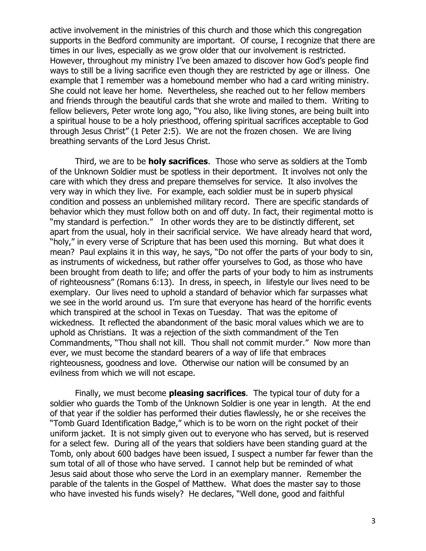active involvement in the ministries of this church and those which this congregation supports in the Bedford community are important. Of course, I recognize that there are times in our lives, especially as we grow older that our involvement is restricted. However, throughout my ministry I've been amazed to discover how God's people find ways to still be a living sacrifice even though they are restricted by age or illness. One example that I remember was a homebound member who had a card writing ministry. She could not leave her home. Nevertheless, she reached out to her fellow members and friends through the beautiful cards that she wrote and mailed to them. Writing to fellow believers, Peter wrote long ago, "You also, like living stones, are being built into a spiritual house to be a holy priesthood, offering spiritual sacrifices acceptable to God through Jesus Christ" (1 Peter 2:5). We are not the frozen chosen. We are living breathing servants of the Lord Jesus Christ.

Third, we are to be **holy sacrifices**. Those who serve as soldiers at the Tomb of the Unknown Soldier must be spotless in their deportment. It involves not only the care with which they dress and prepare themselves for service. It also involves the very way in which they live. For example, each soldier must be in superb physical condition and possess an unblemished military record. There are specific standards of behavior which they must follow both on and off duty. In fact, their regimental motto is "my standard is perfection." In other words they are to be distinctly different, set apart from the usual, holy in their sacrificial service. We have already heard that word, "holy," in every verse of Scripture that has been used this morning. But what does it mean? Paul explains it in this way, he says, "Do not offer the parts of your body to sin, as instruments of wickedness, but rather offer yourselves to God, as those who have been brought from death to life; and offer the parts of your body to him as instruments of righteousness" (Romans 6:13). In dress, in speech, in lifestyle our lives need to be exemplary. Our lives need to uphold a standard of behavior which far surpasses what we see in the world around us. I'm sure that everyone has heard of the horrific events which transpired at the school in Texas on Tuesday. That was the epitome of wickedness. It reflected the abandonment of the basic moral values which we are to uphold as Christians. It was a rejection of the sixth commandment of the Ten Commandments, "Thou shall not kill. Thou shall not commit murder." Now more than ever, we must become the standard bearers of a way of life that embraces righteousness, goodness and love. Otherwise our nation will be consumed by an evilness from which we will not escape.

Finally, we must become **pleasing sacrifices**. The typical tour of duty for a soldier who guards the Tomb of the Unknown Soldier is one year in length. At the end of that year if the soldier has performed their duties flawlessly, he or she receives the "Tomb Guard Identification Badge," which is to be worn on the right pocket of their uniform jacket. It is not simply given out to everyone who has served, but is reserved for a select few. During all of the years that soldiers have been standing guard at the Tomb, only about 600 badges have been issued, I suspect a number far fewer than the sum total of all of those who have served. I cannot help but be reminded of what Jesus said about those who serve the Lord in an exemplary manner. Remember the parable of the talents in the Gospel of Matthew. What does the master say to those who have invested his funds wisely? He declares, "Well done, good and faithful